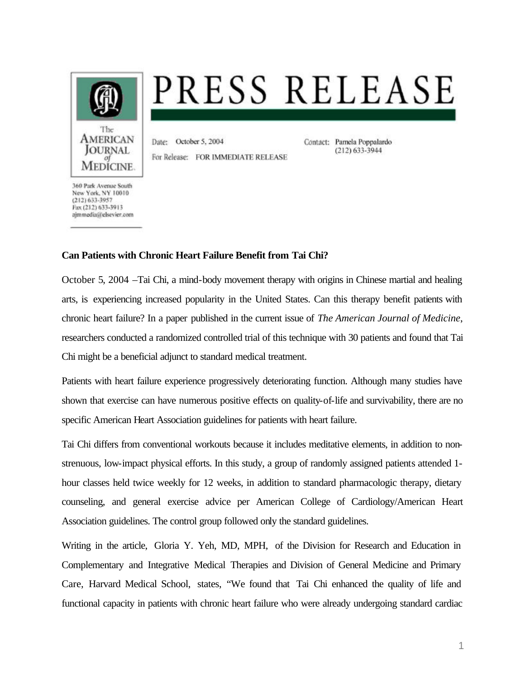

## PRESS RELEASE

Date: October 5, 2004 For Release: FOR IMMEDIATE RELEASE Contact: Pamela Poppalardo  $(212)$  633-3944

360 Park Avenue South New York, NY 10010  $(212)$  633-3957 Fax (212) 633-3913 ajmmedia@elsevier.com

## **Can Patients with Chronic Heart Failure Benefit from Tai Chi?**

October 5, 2004 –Tai Chi, a mind-body movement therapy with origins in Chinese martial and healing arts, is experiencing increased popularity in the United States. Can this therapy benefit patients with chronic heart failure? In a paper published in the current issue of *The American Journal of Medicine*, researchers conducted a randomized controlled trial of this technique with 30 patients and found that Tai Chi might be a beneficial adjunct to standard medical treatment.

Patients with heart failure experience progressively deteriorating function. Although many studies have shown that exercise can have numerous positive effects on quality-of-life and survivability, there are no specific American Heart Association guidelines for patients with heart failure.

Tai Chi differs from conventional workouts because it includes meditative elements, in addition to nonstrenuous, low-impact physical efforts. In this study, a group of randomly assigned patients attended 1 hour classes held twice weekly for 12 weeks, in addition to standard pharmacologic therapy, dietary counseling, and general exercise advice per American College of Cardiology/American Heart Association guidelines. The control group followed only the standard guidelines.

Writing in the article, Gloria Y. Yeh, MD, MPH, of the Division for Research and Education in Complementary and Integrative Medical Therapies and Division of General Medicine and Primary Care, Harvard Medical School, states, "We found that Tai Chi enhanced the quality of life and functional capacity in patients with chronic heart failure who were already undergoing standard cardiac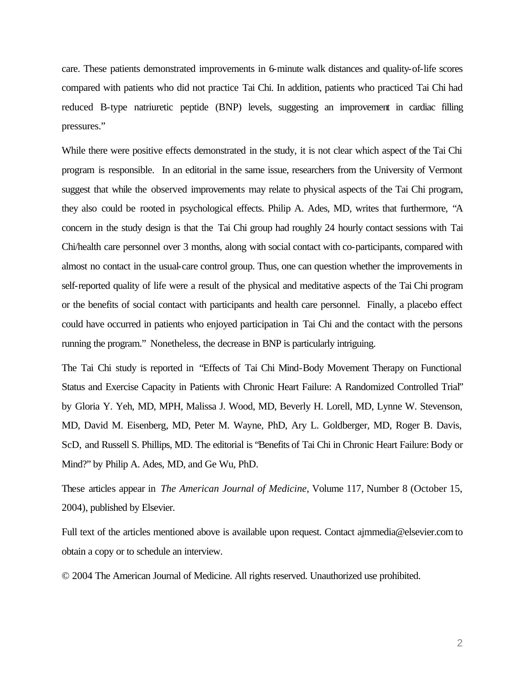care. These patients demonstrated improvements in 6-minute walk distances and quality-of-life scores compared with patients who did not practice Tai Chi. In addition, patients who practiced Tai Chi had reduced B-type natriuretic peptide (BNP) levels, suggesting an improvement in cardiac filling pressures."

While there were positive effects demonstrated in the study, it is not clear which aspect of the Tai Chi program is responsible. In an editorial in the same issue, researchers from the University of Vermont suggest that while the observed improvements may relate to physical aspects of the Tai Chi program, they also could be rooted in psychological effects. Philip A. Ades, MD, writes that furthermore, "A concern in the study design is that the Tai Chi group had roughly 24 hourly contact sessions with Tai Chi/health care personnel over 3 months, along with social contact with co-participants, compared with almost no contact in the usual-care control group. Thus, one can question whether the improvements in self-reported quality of life were a result of the physical and meditative aspects of the Tai Chi program or the benefits of social contact with participants and health care personnel. Finally, a placebo effect could have occurred in patients who enjoyed participation in Tai Chi and the contact with the persons running the program." Nonetheless, the decrease in BNP is particularly intriguing.

The Tai Chi study is reported in "Effects of Tai Chi Mind-Body Movement Therapy on Functional Status and Exercise Capacity in Patients with Chronic Heart Failure: A Randomized Controlled Trial" by Gloria Y. Yeh, MD, MPH, Malissa J. Wood, MD, Beverly H. Lorell, MD, Lynne W. Stevenson, MD, David M. Eisenberg, MD, Peter M. Wayne, PhD, Ary L. Goldberger, MD, Roger B. Davis, ScD, and Russell S. Phillips, MD. The editorial is "Benefits of Tai Chi in Chronic Heart Failure: Body or Mind?" by Philip A. Ades, MD, and Ge Wu, PhD.

These articles appear in *The American Journal of Medicine*, Volume 117, Number 8 (October 15, 2004), published by Elsevier.

Full text of the articles mentioned above is available upon request. Contact ajmmedia@elsevier.com to obtain a copy or to schedule an interview.

© 2004 The American Journal of Medicine. All rights reserved. Unauthorized use prohibited.